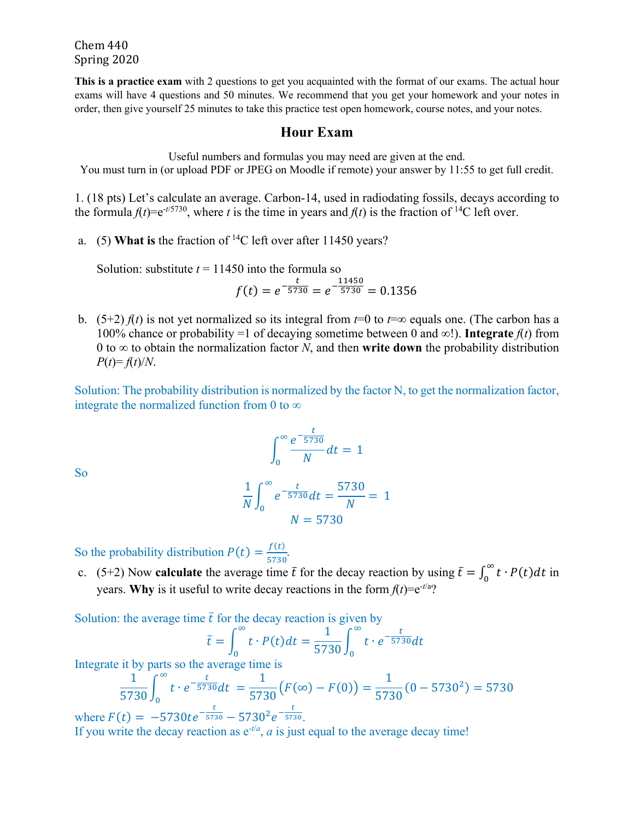Chem 440 Spring 2020

**This is a practice exam** with 2 questions to get you acquainted with the format of our exams. The actual hour exams will have 4 questions and 50 minutes. We recommend that you get your homework and your notes in order, then give yourself 25 minutes to take this practice test open homework, course notes, and your notes.

## **Hour Exam**

Useful numbers and formulas you may need are given at the end.

You must turn in (or upload PDF or JPEG on Moodle if remote) your answer by 11:55 to get full credit.

1. (18 pts) Let's calculate an average. Carbon-14, used in radiodating fossils, decays according to the formula  $f(t) = e^{-t/5730}$ , where *t* is the time in years and  $f(t)$  is the fraction of <sup>14</sup>C left over.

a. (5) **What is** the fraction of 14C left over after 11450 years?

Solution: substitute  $t = 11450$  into the formula so

$$
f(t) = e^{-\frac{t}{5730}} = e^{-\frac{11450}{5730}} = 0.1356
$$

b. (5+2)  $f(t)$  is not yet normalized so its integral from  $t=0$  to  $t=\infty$  equals one. (The carbon has a 100% chance or probability =1 of decaying sometime between 0 and  $\infty$ !). **Integrate**  $f(t)$  from 0 to  $\infty$  to obtain the normalization factor *N*, and then **write down** the probability distribution  $P(t) = f(t)/N$ .

Solution: The probability distribution is normalized by the factor N, to get the normalization factor, integrate the normalized function from 0 to  $\infty$ 

$$
\int_0^\infty \frac{e^{-\frac{t}{5730}}}{N} dt = 1
$$

So

$$
\frac{1}{N} \int_0^\infty e^{-\frac{t}{5730}} dt = \frac{5730}{N} = 1
$$
  

$$
N = 5730
$$

So the probability distribution  $P(t) = \frac{f(t)}{5730}$ .

c. (5+2) Now **calculate** the average time  $\bar{t}$  for the decay reaction by using  $\bar{t} = \int_0^\infty t \cdot P(t) dt$  in years. **Why** is it useful to write decay reactions in the form  $f(t) = e^{-t/a}$ ?

Solution: the average time  $\bar{t}$  for the decay reaction is given by

$$
\bar{t} = \int_0^\infty t \cdot P(t) dt = \frac{1}{5730} \int_0^\infty t \cdot e^{-\frac{t}{5730}} dt
$$

Integrate it by parts so the average time is

$$
\frac{1}{5730} \int_0^\infty t \cdot e^{-\frac{t}{5730}} dt = \frac{1}{5730} (F(\infty) - F(0)) = \frac{1}{5730} (0 - 5730^2) = 5730
$$
  
where  $F(t) = -5730te^{-\frac{t}{5730}} - 5730^2e^{-\frac{t}{5730}}$ .

If you write the decay reaction as  $e^{-t/a}$ , *a* is just equal to the average decay time!